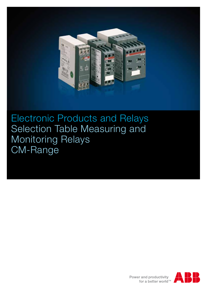

Electronic Products and Relays Selection Table Measuring and Monitoring Relays CM-Range

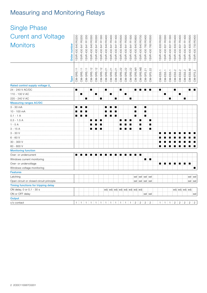# Measuring and Monitoring Relays

| <b>Single Phase</b>                                  |              |                    |              |              |                    |                    |                   |                    |                    |                    |                    |                    |                    |                                     |                    |                    |                    |                    |                |                   |                 |                   |                 |                 |                    |
|------------------------------------------------------|--------------|--------------------|--------------|--------------|--------------------|--------------------|-------------------|--------------------|--------------------|--------------------|--------------------|--------------------|--------------------|-------------------------------------|--------------------|--------------------|--------------------|--------------------|----------------|-------------------|-----------------|-------------------|-----------------|-----------------|--------------------|
| <b>Curent and Voltage</b>                            |              |                    | R0200        | R1200        |                    |                    | R1300             |                    |                    |                    |                    |                    |                    |                                     |                    |                    |                    |                    | R0300          | R1300             | R0400           | R0400             | R1400           | R0500           |                    |
| <b>Monitors</b>                                      | Order number | 1SVR 430 840 R0200 | 1SVR 430 841 | 1SVR 430 841 | 1SVR 430 840 R0300 | 1SVR 430 841 R0300 | 1SVR 430 841      | 1SVR 430 840 R0400 | 1SVR 430 841 R0400 | 1SVR 430 841 R1400 | 1SVR 430 840 R0500 | 1SVR 430 841 R0500 | 1SVR 430 841 R1500 | 1SVR 430 840 R0600                  | 1SVR 430 840 R0700 | ISVR 430 760 R0400 | 1SVR 430 760 R0500 | 1SVR 430 830 R0300 | 1SVR 430 831   | ISVR 430 831      | SVR 430 830     | SVR 430 831       | SVR 430 831     | 430 830<br>SVR. | 1SVR 430 750 R0400 |
|                                                      | Type         | CM-SRS.11          | CM-SRS.11    | CM-SRS.11    | CM-SRS.12          | CM-SRS.12          | CM-SRS.12         | CM-SRS.21          | CM-SRS.21          | CM-SRS.21          | CM-SRS.22          | CM-SRS.22          | CM-SRS.22          | CM-SRS.M1                           | CM-SRS.M2          | CM-SFS.21          | CM-SFS.22          | CM-ESS.1           | CM-ESS.1       | CM-ESS.1          | $CM$ -ESS. $2$  | $CM$ -ESS. $2$    | $CM$ -ESS. $2$  | CM-ESS.M        | $CM$ -EFS.2        |
| Rated control supply voltage U                       |              |                    |              |              |                    |                    |                   |                    |                    |                    |                    |                    |                    |                                     |                    |                    |                    |                    |                |                   |                 |                   |                 |                 |                    |
| 24 - 240 V AC/DC<br>110 - 130 V AC<br>220 - 240 V AC |              | п                  | ■            | п            | $\blacksquare$     | ■                  | п                 | п                  | ■                  | п                  | ■                  | n                  | п                  | ■                                   |                    | ▬                  | ■                  | $\blacksquare$     | ■              | $\blacksquare$    | п               | ■                 | п               | $\blacksquare$  | $\blacksquare$     |
| <b>Measuring ranges AC/DC</b>                        |              |                    |              |              |                    |                    |                   |                    |                    |                    |                    |                    |                    |                                     |                    |                    |                    |                    |                |                   |                 |                   |                 |                 |                    |
| $3 - 30$ mA                                          |              |                    |              | ■            |                    |                    |                   | ■                  |                    | п                  |                    |                    |                    | ■                                   |                    | $\blacksquare$     |                    |                    |                |                   |                 |                   |                 |                 |                    |
| 10 - 100 mA                                          |              |                    |              | ■            |                    |                    |                   |                    |                    | п                  |                    |                    |                    | ▉                                   |                    | ■                  |                    |                    |                |                   |                 |                   |                 |                 |                    |
| $0.1 - 1 A$                                          |              | ■                  |              | ■            |                    |                    |                   | ■                  | п                  | п                  |                    |                    |                    | ■                                   |                    | ■                  |                    |                    |                |                   |                 |                   |                 |                 |                    |
| $0.3 - 1.5 A$                                        |              |                    |              |              |                    |                    | ■                 |                    |                    |                    | ■                  | ■                  | ■                  |                                     | ■                  |                    | П                  |                    |                |                   |                 |                   |                 |                 |                    |
| $1 - 5A$<br>3 - 15 A                                 |              |                    |              |              |                    |                    | ■                 |                    |                    |                    |                    |                    | ■                  |                                     | ■<br>■             |                    | ■<br>■             |                    |                |                   |                 |                   |                 |                 |                    |
| $3 - 30V$                                            |              |                    |              |              |                    |                    |                   |                    |                    |                    |                    |                    |                    |                                     |                    |                    |                    |                    |                |                   |                 |                   |                 |                 |                    |
| $6 - 60V$                                            |              |                    |              |              |                    |                    |                   |                    |                    |                    |                    |                    |                    |                                     |                    |                    |                    |                    |                |                   |                 |                   |                 |                 |                    |
| 30 - 300 V                                           |              |                    |              |              |                    |                    |                   |                    |                    |                    |                    |                    |                    |                                     |                    |                    |                    |                    |                |                   |                 |                   |                 |                 | ■                  |
| 60 - 600 V                                           |              |                    |              |              |                    |                    |                   |                    |                    |                    |                    |                    |                    |                                     |                    |                    |                    |                    |                |                   |                 |                   |                 |                 | ■                  |
| <b>Monitoring function</b>                           |              |                    |              |              |                    |                    |                   |                    |                    |                    |                    |                    |                    |                                     |                    |                    |                    |                    |                |                   |                 |                   |                 |                 |                    |
| Over- or undercurrent                                |              | ■                  |              |              |                    |                    | ■                 | ■                  | п                  | ■                  | ■                  | п                  | п                  | ■                                   | ×                  |                    |                    |                    |                |                   |                 |                   |                 |                 |                    |
| Windows current monitoring                           |              |                    |              |              |                    |                    |                   |                    |                    |                    |                    |                    |                    |                                     |                    | $\blacksquare$     | $\blacksquare$     |                    |                |                   |                 |                   |                 |                 |                    |
| Over- or undervoltage                                |              |                    |              |              |                    |                    |                   |                    |                    |                    |                    |                    |                    |                                     |                    |                    |                    |                    | ■              | ■                 | п               | ■                 | ■               | п               |                    |
| Windows voltage monitoring                           |              |                    |              |              |                    |                    |                   |                    |                    |                    |                    |                    |                    |                                     |                    |                    |                    |                    |                |                   |                 |                   |                 |                 | п                  |
| <b>Features</b>                                      |              |                    |              |              |                    |                    |                   |                    |                    |                    |                    |                    |                    |                                     |                    |                    |                    |                    |                |                   |                 |                   |                 |                 |                    |
| Latching                                             |              |                    |              |              |                    |                    |                   |                    |                    |                    |                    |                    |                    |                                     | sel sel sel sel    |                    |                    |                    |                |                   |                 |                   |                 | sel sel         |                    |
| Open circuit or closed circuit principle             |              |                    |              |              |                    |                    |                   |                    |                    |                    |                    |                    |                    |                                     | sel sel sel sel    |                    |                    |                    |                |                   |                 |                   |                 | sel sel         |                    |
| Timing functions for tripping delay                  |              |                    |              |              |                    |                    |                   |                    |                    |                    |                    |                    |                    |                                     |                    |                    |                    |                    |                |                   |                 |                   |                 |                 |                    |
| ON delay, 0 or 0,1 - 30 s                            |              |                    |              |              |                    |                    |                   |                    |                    |                    |                    |                    |                    | adj adj adj adj adj adj adj adj adj |                    |                    |                    |                    |                |                   |                 |                   | adj adj adj adj |                 |                    |
| ON or OFF delay                                      |              |                    |              |              |                    |                    |                   |                    |                    |                    |                    |                    |                    |                                     |                    | sel sel            |                    |                    |                |                   |                 |                   |                 |                 | sel                |
| Output                                               |              |                    |              |              |                    |                    |                   |                    |                    |                    |                    |                    |                    |                                     |                    |                    |                    |                    |                |                   |                 |                   |                 |                 |                    |
| c/o contact                                          |              |                    | $1 \pm 1$    | $\mathbf{1}$ | $\mathbf{1}$       | $\mathbf{1}$       | ÷<br>$\mathbf{1}$ | $\mathbf{1}$       | ÷<br>$\mathbf{1}$  | $\mathbf{1}$       | $\pm$ 1            | $\mathbf{1}$       | $\overline{1}$     | $\overline{c}$                      | $\overline{2}$     | $\overline{c}$     | $\mathbf{2}$       | 1                  | 1 <sup>1</sup> | $\mathbf{1}$<br>÷ | $2 \frac{1}{2}$ | $\mathbf{2}$<br>Æ | $\mathbf{2}$    | $\overline{c}$  | $\frac{1}{2}$ 2    |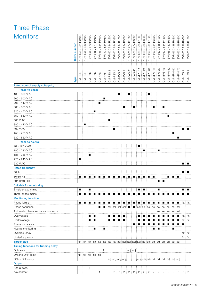## Three Phase Monitors

| <b>Monitors</b>                     | Order number | R9400<br>881<br>550<br>1SVR | R9500<br>882<br>550<br>1SVR         | 870 R9400<br>550<br>1SVR <sub>3</sub> | R9500<br>871<br>1SVR 550 | R9100<br>824<br>1SVR 550 | R9300<br>824<br>1SVR 430 | R2300<br>784<br>1SVR 630 | R3300<br>784<br>1SVR 630 | R1300<br>794<br>1SVR 630 | R3300<br>794<br>1SVR 630 | R1300<br>774<br>1SVR 630                                                                                        | R3300<br>774<br>630<br>1SVR | R1300<br>885<br>1SVR 630 | R3300<br>885<br>1SVR 630 | 1SVR 630 884 R1300 | 1SVR 630 884 R3300 | 1SVR 630 885 R4300 | 1SVR 630 884 R4300 | 1SVR 650 487 R8300                      | 1SVR 650 488 R8300 | 1SVR 650 489 R8300 | R0300<br>736<br>1SVR 630 | 1SVR 630 736 R1300 |
|-------------------------------------|--------------|-----------------------------|-------------------------------------|---------------------------------------|--------------------------|--------------------------|--------------------------|--------------------------|--------------------------|--------------------------|--------------------------|-----------------------------------------------------------------------------------------------------------------|-----------------------------|--------------------------|--------------------------|--------------------|--------------------|--------------------|--------------------|-----------------------------------------|--------------------|--------------------|--------------------------|--------------------|
|                                     | Type         | CM-PBE                      | CM-PBE                              | CM-PVE                                | CM-PVE                   | CM-PFE                   | CM-PFS                   | CM-PSS.31                | CM-PSS.41                | CM-PVS.31                | CM-PVS.41                | CM-PAS.31                                                                                                       | CM-PAS.41                   | CM-MPS.11                | CM-MPS.21                | CM-MPS.31          | CM-MPS.41          | CM-MPS.23          | CM-MPS.43          | CM-MPN.52                               | CM-MPN.62          | CM-MPN.72          | CM-UFS.1                 | $CM-UFS.2$         |
| Rated control supply voltage U      |              |                             |                                     |                                       |                          |                          |                          |                          |                          |                          |                          |                                                                                                                 |                             |                          |                          |                    |                    |                    |                    |                                         |                    |                    |                          |                    |
| Phase to phase                      |              |                             |                                     |                                       |                          |                          |                          |                          |                          |                          |                          |                                                                                                                 |                             |                          |                          |                    |                    |                    |                    |                                         |                    |                    |                          |                    |
| 160 - 300 V AC                      |              |                             |                                     |                                       |                          |                          |                          |                          |                          | п                        |                          | п                                                                                                               |                             |                          |                          | п                  |                    |                    |                    |                                         |                    |                    |                          |                    |
| 200 - 500 V AC                      |              |                             |                                     |                                       |                          |                          | п                        |                          |                          |                          |                          |                                                                                                                 |                             |                          |                          |                    |                    |                    |                    |                                         |                    |                    |                          |                    |
| 208 - 440 V AC                      |              |                             |                                     |                                       |                          | ■                        |                          |                          |                          |                          |                          |                                                                                                                 |                             |                          |                          |                    |                    |                    |                    |                                         |                    |                    |                          |                    |
| 300 - 500 V AC                      |              |                             |                                     |                                       |                          |                          |                          |                          |                          |                          | п                        |                                                                                                                 | П                           |                          |                          |                    | п                  |                    | П                  |                                         |                    |                    |                          |                    |
| 320 - 460 V AC                      |              |                             |                                     |                                       | ■                        |                          |                          |                          |                          |                          |                          |                                                                                                                 |                             |                          |                          |                    |                    |                    |                    |                                         |                    |                    |                          |                    |
| 350 - 580 V AC                      |              |                             |                                     |                                       |                          |                          |                          |                          |                          |                          |                          |                                                                                                                 |                             |                          |                          |                    |                    |                    |                    | ■                                       |                    |                    |                          |                    |
| 380 V AC                            |              |                             |                                     |                                       |                          |                          |                          | ш                        |                          |                          |                          |                                                                                                                 |                             |                          |                          |                    |                    |                    |                    |                                         |                    |                    |                          |                    |
| 380 - 440 V AC                      |              |                             | ■                                   |                                       |                          |                          |                          |                          |                          |                          |                          |                                                                                                                 |                             |                          |                          |                    |                    |                    |                    |                                         |                    |                    |                          |                    |
| 400 V AC                            |              |                             |                                     |                                       |                          |                          |                          |                          | ∎                        |                          |                          |                                                                                                                 |                             |                          |                          |                    |                    |                    |                    |                                         |                    |                    | ■                        | ш                  |
| 450 - 720 V AC                      |              |                             |                                     |                                       |                          |                          |                          |                          |                          |                          |                          |                                                                                                                 |                             |                          |                          |                    |                    |                    |                    |                                         | ■                  |                    |                          |                    |
| 530 - 820 V AC                      |              |                             |                                     |                                       |                          |                          |                          |                          |                          |                          |                          |                                                                                                                 |                             |                          |                          |                    |                    |                    |                    |                                         |                    | п                  |                          |                    |
| <b>Phase to neutral</b>             |              |                             |                                     |                                       |                          |                          |                          |                          |                          |                          |                          |                                                                                                                 |                             |                          |                          |                    |                    |                    |                    |                                         |                    |                    |                          |                    |
| 90 - 170 V AC                       |              |                             |                                     |                                       |                          |                          |                          |                          |                          |                          |                          |                                                                                                                 |                             | п                        |                          |                    |                    |                    |                    |                                         |                    |                    |                          |                    |
| 180 - 280 V AC                      |              |                             |                                     |                                       |                          |                          |                          |                          |                          |                          |                          |                                                                                                                 |                             |                          | п                        |                    |                    | ■                  |                    |                                         |                    |                    |                          |                    |
| 185 - 265 V AC                      |              |                             |                                     | ■                                     |                          |                          |                          |                          |                          |                          |                          |                                                                                                                 |                             |                          |                          |                    |                    |                    |                    |                                         |                    |                    |                          |                    |
| 220 - 240 V AC                      |              |                             |                                     |                                       |                          |                          |                          |                          |                          |                          |                          |                                                                                                                 |                             |                          |                          |                    |                    |                    |                    |                                         |                    |                    |                          |                    |
| 230 V AC                            |              |                             |                                     |                                       |                          |                          |                          |                          |                          |                          |                          |                                                                                                                 |                             |                          |                          |                    |                    |                    |                    |                                         |                    |                    | ▉░▊                      |                    |
| <b>Rated frequency</b>              |              |                             |                                     |                                       |                          |                          |                          |                          |                          |                          |                          |                                                                                                                 |                             |                          |                          |                    |                    |                    |                    |                                         |                    |                    |                          |                    |
| 50Hz                                |              |                             |                                     |                                       |                          |                          |                          |                          |                          |                          |                          |                                                                                                                 |                             |                          |                          |                    |                    |                    |                    |                                         |                    |                    | ■                        | ⊧∎                 |
| 50/60 Hz                            |              | ■                           | ■                                   |                                       |                          |                          |                          |                          |                          |                          |                          |                                                                                                                 |                             |                          |                          | ■                  | ш                  |                    |                    | ■                                       | ■                  | ┆∎                 |                          |                    |
| 50/60/400 Hz                        |              |                             |                                     |                                       |                          |                          |                          |                          |                          |                          |                          |                                                                                                                 |                             |                          |                          |                    |                    |                    | п                  |                                         |                    |                    |                          |                    |
| <b>Suitable for monitoring</b>      |              |                             |                                     |                                       |                          |                          |                          |                          |                          |                          |                          |                                                                                                                 |                             |                          |                          |                    |                    |                    |                    |                                         |                    |                    |                          |                    |
| Single-phase mains                  |              | п                           |                                     | ш                                     |                          |                          |                          |                          |                          |                          |                          |                                                                                                                 |                             | ■ }                      | п                        |                    |                    | п                  |                    |                                         |                    |                    | ■                        | п                  |
| Three-phase mains                   |              | ■                           |                                     |                                       | .                        |                          |                          | .                        |                          |                          |                          | ш                                                                                                               |                             |                          |                          |                    |                    |                    |                    | <b>FOR 1999</b>                         |                    |                    | .                        |                    |
| <b>Monitoring function</b>          |              |                             |                                     |                                       |                          |                          |                          |                          |                          |                          |                          |                                                                                                                 |                             |                          |                          |                    |                    |                    |                    |                                         |                    |                    |                          |                    |
| Phase failure                       |              | $\blacksquare$              | ш                                   |                                       |                          |                          |                          |                          |                          |                          |                          |                                                                                                                 |                             |                          |                          |                    |                    |                    |                    |                                         |                    |                    | $\blacksquare$ fix fix   |                    |
| Phase sequence                      |              |                             |                                     |                                       |                          |                          |                          |                          | sel : sel : sel : sel    |                          |                          |                                                                                                                 |                             |                          |                          |                    |                    |                    |                    |                                         |                    |                    |                          |                    |
| Automatic phase sequence            |              |                             |                                     |                                       |                          |                          |                          |                          |                          |                          |                          |                                                                                                                 |                             |                          |                          |                    |                    |                    |                    | sel i sel i sel i sel i sel             |                    |                    |                          |                    |
| Overvoltage                         |              |                             |                                     |                                       |                          |                          |                          |                          |                          |                          | п                        |                                                                                                                 |                             |                          |                          |                    |                    |                    |                    |                                         |                    |                    | $fix$ : fix              |                    |
| Undervoltage                        |              |                             |                                     |                                       | ■                        |                          |                          |                          |                          |                          | ш                        |                                                                                                                 |                             |                          |                          |                    |                    |                    |                    |                                         |                    |                    | $fix$ i fix              |                    |
| Phase unbalance                     |              |                             |                                     |                                       |                          |                          |                          |                          |                          |                          |                          |                                                                                                                 |                             |                          |                          |                    |                    |                    |                    |                                         |                    |                    | ш                        |                    |
| Neutral monitoring                  |              |                             |                                     |                                       | п                        |                          | п                        |                          |                          |                          |                          |                                                                                                                 |                             |                          |                          |                    | ■                  | ■                  |                    |                                         | ш                  |                    |                          |                    |
| Overfrequency                       |              |                             |                                     |                                       |                          |                          |                          |                          |                          |                          |                          |                                                                                                                 |                             |                          |                          |                    |                    |                    |                    |                                         |                    |                    | $fix$ fix                |                    |
| Underfrequency                      |              |                             |                                     |                                       |                          |                          |                          |                          |                          |                          |                          |                                                                                                                 |                             |                          |                          |                    |                    |                    |                    |                                         |                    |                    | $fix$ if $ix$            |                    |
| <b>Thresholds</b>                   |              |                             |                                     |                                       |                          |                          |                          |                          |                          |                          |                          | fix   fix   fix   fix   fix   fix   fix   fix   fix   adj   adj   adj   adj   adj   adj   adj   adj   adj   adj |                             |                          |                          |                    |                    |                    |                    |                                         |                    |                    |                          |                    |
| Timing functions for tripping delay |              |                             |                                     |                                       |                          |                          |                          |                          |                          |                          |                          |                                                                                                                 |                             |                          |                          |                    |                    |                    |                    |                                         |                    |                    |                          |                    |
| ON delay                            |              |                             |                                     |                                       |                          |                          | fix                      |                          |                          |                          |                          |                                                                                                                 | adj adj                     |                          |                          |                    |                    |                    |                    |                                         |                    |                    |                          |                    |
| ON and OFF delay                    |              |                             | $fix$ $fix$ $fix$ $fix$ $fix$ $fix$ |                                       |                          |                          |                          |                          |                          |                          |                          |                                                                                                                 |                             |                          |                          |                    |                    |                    |                    |                                         |                    |                    |                          |                    |
| ON or OFF delay                     |              |                             |                                     |                                       |                          |                          |                          |                          |                          |                          | adj adj adj adj          |                                                                                                                 |                             |                          |                          |                    |                    |                    |                    | adj adj adj adj adj adj adj adj adj adj |                    |                    |                          |                    |
| Output                              |              |                             |                                     |                                       |                          |                          |                          |                          |                          |                          |                          |                                                                                                                 |                             |                          |                          |                    |                    |                    |                    |                                         |                    |                    |                          |                    |
| n/o contact                         |              | $\mathbf{1}$                | 1                                   | 1                                     | ÷<br>1                   |                          |                          |                          |                          |                          |                          |                                                                                                                 |                             |                          |                          |                    |                    |                    |                    |                                         |                    |                    |                          |                    |
| c/o contact                         |              |                             |                                     |                                       |                          | 1                        | 2:                       | $\overline{c}$           | $\overline{2}$           | $\overline{c}$           | $\overline{2}$           | $\mathbf{2}$                                                                                                    | $\overline{c}$              | $\overline{2}$           | 2                        | $\overline{c}$     | $\overline{c}$     | $\overline{c}$     | 2:                 |                                         |                    | 2   2   2          | 2:2                      |                    |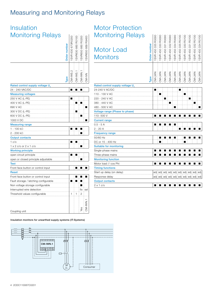### Measuring and Monitoring Relays

| Insulation                                                                                                                                                                                                                                      |              |                  |                  |                  |                  |
|-------------------------------------------------------------------------------------------------------------------------------------------------------------------------------------------------------------------------------------------------|--------------|------------------|------------------|------------------|------------------|
| <b>Monitoring Relays</b>                                                                                                                                                                                                                        | Order number | SVR 630 670R0200 | SVR630 660 R0100 | SVR650 660 R0200 | SVR650 669 R9400 |
|                                                                                                                                                                                                                                                 | <b>Type</b>  | $CM-IVSS.2$      | CM-IWS.1         | CM-IWN           | CM-IVN           |
| Rated control supply voltage U                                                                                                                                                                                                                  |              |                  |                  |                  |                  |
| 24 - 240 VAC/DC                                                                                                                                                                                                                                 |              | ÷                | п                |                  |                  |
| <b>Measuring voltages</b>                                                                                                                                                                                                                       |              |                  |                  |                  |                  |
| 250 V AC (L-PE)<br>400 V AC (L-PE)<br>690 V AC<br>300 V DC (L-PE)<br>600 V DC (L-PE)<br>1000 V DC<br><b>Measuring range</b><br>$1 - 100 \text{ k}\Omega$<br>2 - 200 kΩ<br><b>Output contacts</b><br>1 <sub>c</sub> /o<br>1 x 2 c/o or 2 x 1 c/o |              |                  |                  | ∎<br>■           |                  |
| <b>Working principle</b>                                                                                                                                                                                                                        |              |                  |                  |                  |                  |
| open circuit principle<br>open or closed principle adjustable                                                                                                                                                                                   |              |                  |                  |                  |                  |
| <b>Test</b>                                                                                                                                                                                                                                     |              |                  |                  |                  |                  |
| Front face button or control input                                                                                                                                                                                                              |              |                  | ŧ                |                  |                  |
| <b>Reset</b>                                                                                                                                                                                                                                    |              |                  |                  |                  |                  |
| Front face button or control input<br>Fault storage / latching configurable                                                                                                                                                                     |              |                  |                  |                  |                  |
| Non voltage storage configurable                                                                                                                                                                                                                |              |                  |                  |                  |                  |
| Interrupted wire detection                                                                                                                                                                                                                      |              | 1                |                  | fix              | sel              |
| Threshold values configurable                                                                                                                                                                                                                   |              |                  | 1                | 2                |                  |
| Coupling unit                                                                                                                                                                                                                                   |              |                  |                  |                  |                  |

### Motor Protection Monitoring Relays

| <b>Monitoring Relays</b>       |              | SVR 450 335 R0000 | SVR 450 330 R0000 |        | 1SVR 450 331 R0000<br>1SVR 450 332 R0000 |                | 1SVR 450 334 R0000<br>1SVR 450 335 R0100<br>1SVR 450 330 R0100 |        | SVR 450 331 R0100 | SVR 450 332 R0100 | R0100       |
|--------------------------------|--------------|-------------------|-------------------|--------|------------------------------------------|----------------|----------------------------------------------------------------|--------|-------------------|-------------------|-------------|
| <b>Motor Load</b>              | Order number |                   |                   |        |                                          |                |                                                                |        |                   |                   | SVR 450 334 |
| <b>Monitors</b>                |              |                   |                   |        |                                          |                |                                                                |        |                   |                   |             |
|                                |              |                   |                   |        |                                          |                |                                                                |        |                   |                   |             |
|                                |              |                   |                   |        |                                          |                |                                                                |        |                   |                   |             |
|                                | Type         | CM-LWN            | CM-LWN            | CM-LWN | CM-LWN                                   | CM-LWN         | CM-LWN                                                         | CM-LWN | CM-LWN            | CM-LWN            | CM-LWN      |
| Rated control supply voltage U |              |                   |                   |        |                                          |                |                                                                |        |                   |                   |             |
| 24-240 V AC/DC                 |              | п                 |                   |        |                                          |                | ■                                                              |        |                   |                   |             |
| 110 - 130 V AC                 |              |                   | п                 |        |                                          |                |                                                                | П      |                   |                   |             |
| 220 - 240 V AC                 |              |                   |                   |        |                                          |                |                                                                |        |                   |                   |             |
| 380 - 440 V AC                 |              |                   |                   |        | ш                                        |                |                                                                |        |                   | ■                 |             |
| 480 - 500 V AC                 |              |                   |                   |        |                                          |                |                                                                |        |                   |                   |             |
| Voltage range (Phase to phase) |              |                   |                   |        |                                          |                |                                                                |        |                   |                   |             |
| 110-500 V                      |              | ■Ⅰ                |                   |        | ■                                        |                |                                                                |        |                   |                   |             |
| <b>Current range</b>           |              |                   |                   |        |                                          |                |                                                                |        |                   |                   |             |
| $0.5 - 5A$                     |              | ∎                 | п                 | п      | ш÷                                       | $\blacksquare$ |                                                                |        |                   |                   |             |
| 2 - 20 A                       |              |                   |                   |        |                                          |                |                                                                |        |                   |                   |             |
| <b>Frequency range</b>         |              |                   |                   |        |                                          |                |                                                                |        |                   |                   |             |
| 50/60 Hz                       |              |                   | ŧ                 | İ      |                                          |                |                                                                |        |                   |                   |             |
| DC or 15 - 400 Hz              |              |                   | ■                 |        |                                          |                |                                                                |        |                   |                   |             |
| <b>Suitable for monitoring</b> |              |                   |                   |        |                                          |                |                                                                |        |                   |                   |             |
| Single-phase mains             |              |                   |                   |        |                                          |                |                                                                |        |                   |                   |             |
| Three-phase mains              |              |                   |                   |        |                                          |                |                                                                |        |                   |                   |             |
| <b>Monitoring function</b>     |              |                   |                   |        |                                          |                |                                                                |        |                   |                   |             |
| Motor load // cos Phi          |              | ■                 |                   |        |                                          |                |                                                                |        |                   |                   |             |
| <b>Timing functions</b>        |              |                   |                   |        |                                          |                |                                                                |        |                   |                   |             |
| Start up delay (on delay)      |              |                   |                   |        |                                          |                |                                                                |        |                   |                   |             |
| Response delay                 |              |                   |                   |        |                                          |                |                                                                |        |                   |                   |             |
| <b>Output contacts</b>         |              |                   |                   |        |                                          |                |                                                                |        |                   |                   |             |
| $2 \times 1$ c/o               |              | ш                 |                   |        |                                          |                |                                                                |        |                   |                   |             |

Insulation monitors for unearthed supply systems (IT-Systems)

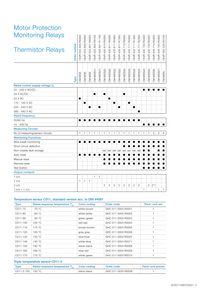### Motor Protection Monitoring Relays

| <b>Monitoring Relays</b>        |              | R9300             | R9300               | R9300       | R9100                 | R1100                        | R9300       | R9300        | R0300                 | R1300                 | R9300                  | R0300          | R1300          |                     | R0400                 | R0300       | R0200          |                   |                    |
|---------------------------------|--------------|-------------------|---------------------|-------------|-----------------------|------------------------------|-------------|--------------|-----------------------|-----------------------|------------------------|----------------|----------------|---------------------|-----------------------|-------------|----------------|-------------------|--------------------|
| <b>Thermistor Relays</b>        | Order number | 805<br>550<br>SVR | SVR 550 800         | SVR 550 801 | 600<br><b>SVR 430</b> | <b>BO1</b><br><b>SVR 430</b> | SVR 430 810 | SVR 430 811  | SVR 430 811           | 811<br><b>SVR 430</b> | 7101<br><b>SVR 430</b> | SVR 430 711    | SVR 430 711    | SVR 430 711 R2300   | 720<br><b>SVR 430</b> | SVR 430 720 | 710<br>SVR 430 | SVR 430 720 R0500 | 1SVR 450 025 R0100 |
|                                 | Type         | CM-MSE            | $CM-MSE$            | CM-MSE      | $CM-MSS(1)$           | $CM-MSS(1)$                  | $CM-MSS(2)$ | CM-MSS(2)    | $CM-MSS(2)$           | CM-MSS(2)             | $CM-MSS(3)$            | $CM-MSS(3)$    | $CM-MSS(3)$    | CM-MSS(3)           | CM-MSS(4)             | $CM-MSS(5)$ | $CM-MSS(6)$    | $CM-MSS(7)$       | CM-MSN             |
| Rated control supply voltage U  |              |                   |                     |             |                       |                              |             |              |                       |                       |                        |                |                |                     |                       |             |                |                   |                    |
| 24 - 240 V AC/DC                |              |                   |                     |             |                       |                              |             |              |                       |                       |                        |                |                |                     |                       |             |                |                   |                    |
| 24 V AC/DC                      |              |                   |                     |             | ■                     |                              | ■           |              |                       |                       | ■                      |                |                |                     |                       |             |                |                   |                    |
| 24 V AC                         |              | ■                 |                     |             |                       |                              |             | ■            |                       |                       |                        |                |                |                     |                       |             |                |                   |                    |
| 110 - 130 V AC                  |              |                   |                     |             |                       |                              |             |              | П                     |                       |                        | ш              |                |                     |                       |             |                |                   |                    |
| 220 - 240 V AC                  |              |                   |                     | ■           |                       | ■                            |             |              |                       | ■                     |                        |                | ■              |                     |                       |             |                |                   |                    |
| 380 - 440 V AC                  |              |                   |                     |             |                       |                              |             |              |                       |                       |                        |                |                | ■                   |                       |             |                |                   |                    |
| <b>Rated frequency</b>          |              |                   |                     |             |                       |                              |             |              |                       |                       |                        |                |                |                     |                       |             |                |                   |                    |
| 50/60 Hz                        |              |                   |                     |             |                       |                              |             |              |                       |                       |                        |                |                |                     |                       |             |                |                   |                    |
| 15 - 400 Hz                     |              |                   |                     |             |                       |                              |             |              |                       |                       |                        |                |                |                     |                       |             |                |                   |                    |
| <b>Measuring Circuits</b>       |              |                   |                     |             |                       |                              |             |              |                       |                       |                        |                |                |                     |                       |             |                |                   |                    |
| No of measuring/sensor circuits |              | 1                 | 1                   | 1           | 1                     | 1                            | 1           | $\mathbf{1}$ | 1                     | 1                     | 1                      | 1              | 1              | 1                   | 1                     | 1           | $\overline{2}$ | 3                 | 6                  |
| <b>Monitoring Functions</b>     |              |                   |                     |             |                       |                              |             |              |                       |                       |                        |                |                |                     |                       |             |                |                   |                    |
| Wire break monitoring           |              |                   |                     |             |                       |                              |             |              |                       |                       |                        |                |                |                     |                       |             |                |                   |                    |
| Short circuit detection         |              |                   |                     |             |                       |                              |             |              |                       |                       |                        |                |                |                     |                       |             |                |                   |                    |
| Non-volatile fault storage      |              |                   |                     |             |                       |                              |             |              | sel : sel : sel : sel |                       | sel                    | sel:           | ∶sel           |                     |                       |             |                |                   |                    |
| Auto reset                      |              | ■                 |                     |             |                       |                              |             |              |                       |                       |                        |                |                |                     |                       |             |                |                   |                    |
| Manual reset                    |              |                   |                     |             |                       |                              |             |              |                       |                       |                        |                |                |                     |                       |             |                |                   |                    |
| Remote reset                    |              |                   |                     |             |                       |                              |             |              |                       |                       |                        |                |                |                     |                       |             |                |                   |                    |
| Test button                     |              |                   |                     |             |                       |                              |             |              |                       |                       |                        |                |                |                     | <b>MARK</b>           |             |                |                   |                    |
| <b>Output contacts</b>          |              |                   |                     |             |                       |                              |             |              |                       |                       |                        |                |                |                     |                       |             |                |                   |                    |
| 1 <sub>c</sub> /o               |              |                   |                     |             | $1 \nmid 1$           |                              |             |              |                       |                       |                        |                |                |                     |                       |             |                |                   |                    |
| 1 n/o                           |              |                   | $1 \nmid 1 \nmid 1$ |             |                       |                              |             |              |                       |                       |                        |                |                |                     |                       |             |                |                   |                    |
| 2 c/o                           |              |                   |                     |             |                       |                              | 2:          | 2            | 2<br>÷                | $\overline{2}$<br>÷   | $\overline{2}$<br>÷    | $\overline{2}$ | $\overline{2}$ | ÷<br>$\overline{c}$ |                       |             | $2^{12*1}$     |                   |                    |
| $1 n/O + 1 n/C$                 |              |                   |                     |             |                       |                              |             |              |                       |                       |                        |                |                |                     | $\mathbf{1}$          |             |                | 1:1               |                    |
|                                 |              |                   |                     |             |                       |                              |             |              |                       |                       |                        |                |                |                     |                       |             |                |                   |                    |

#### Temperature sensor C011, standard version acc. to DIN 44081

| <b>Type</b> | Rated response temperature T <sub>ur</sub> | <b>Color coding</b> | Order code         | Pack.-unit set |
|-------------|--------------------------------------------|---------------------|--------------------|----------------|
| C011-70     | 70 °C                                      | white-brown         | GHC 011 0003 B0001 |                |
| C011-80     | 80 °C                                      | white-white         | GHC 011 0003 B0002 |                |
| C011-90     | 90 °C                                      | green-green         | GHC 011 0003 R0003 |                |
| C011-100    | 100 °C                                     | red-red             | GHC 011 0003 R0004 |                |
| C011-110    | 110 $\degree$ C                            | brown-brown         | GHC 011 0003 R0005 |                |
| C011-120    | 120 °C                                     | gray-gray           | GHC 011 0003 B0006 |                |
| C011-130    | 130 °C                                     | blue-blue           | GHC 011 0003 B0007 |                |
| C011-140    | 140 °C                                     | white-blue          | GHC 011 0003 B0011 |                |
| C011-150    | 150 °C                                     | black-black         | GHC 011 0003 R0008 |                |
| C011-160    | 160 °C                                     | blue-red            | GHC 011 0003 B0009 |                |
| C011-170    | 170 °C                                     | white-green         | GHC 011 0003 B0010 |                |

#### Triple temperature sensor C011-3

| <b>Type</b>         | Rated response temperature $T_{\text{NE}}$ Color coding |                   | <b>Order code</b>    | <b>Pack.-unit pieces</b> |
|---------------------|---------------------------------------------------------|-------------------|----------------------|--------------------------|
| C011-3-150 : 150 °C |                                                         | black-black black | : GHC 011 0033 R0008 |                          |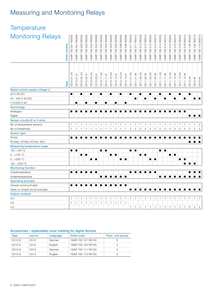# Measuring and Monitoring Relays

| Temperature                              |              |                    |                    |                       |                       |                       |                   |                   |                    |                    |                   |                   |                   |                    |                    |                    |                       |                       |                      |                      |                    |                    |                   |                   |                   |                    |                    |                    |
|------------------------------------------|--------------|--------------------|--------------------|-----------------------|-----------------------|-----------------------|-------------------|-------------------|--------------------|--------------------|-------------------|-------------------|-------------------|--------------------|--------------------|--------------------|-----------------------|-----------------------|----------------------|----------------------|--------------------|--------------------|-------------------|-------------------|-------------------|--------------------|--------------------|--------------------|
| <b>Monitoring Relays</b>                 | Order number | 1SAR 700 001 R0005 | 1SAR 700 001 R0006 | R0005<br>1SAR 700 002 | R0006<br>1SAR 700 002 | R0005<br>ISAR 700 003 | SAR 700 003 R0006 | SAR 700 004 R0005 | 1SAR 700 004 R0006 | 1SAR 700 005 R0005 | SAR 700 005 R0006 | SAR 700 006 R0005 | SAR 700 006 R0006 | 1SAR 700 011 R0005 | 1SAR 700 011 R0010 | 1SAR 700 012 R0005 | R0010<br>1SAR 700 012 | R0005<br>1SAR 700 013 | R0010<br>SAR 700 013 | R0005<br>SAR 700 014 | 1SAR 700 014 R0010 | ISAR 700 015 R0005 | SAR 700 015 R0010 | SAR 700 016 R0005 | SAR 700 016 R0010 | 1SAR 700 100 R0005 | 1SAR 700 100 R0010 | 1SAR 700 110 R0010 |
|                                          | Type         | C510.01-24         | C510.01-K          | C510.02-24            | C510.02-K             | C510.03-24            | C510.03-K         | C510.11-24        | C510.11-K          | C510.12-24         | C510.12-K         | C510.13-24        | C510.13-K         | C511.01-24         | C511.01-W          | C511.02-24         | C511.02-W             | C511.03-24            | C511.03-W            | C511.11-24           | C511.11-W          | C511.12-24         | C511.12-W         | C511.13-24        | C511.13-W         | C512-24            | C512-W             | C513-W             |
| Rated control supply voltage U           |              |                    |                    |                       |                       |                       |                   |                   |                    |                    |                   |                   |                   |                    |                    |                    |                       |                       |                      |                      |                    |                    |                   |                   |                   |                    |                    |                    |
| 24 V AC/DC                               |              | п                  |                    | ■                     |                       |                       |                   | п                 |                    | ■                  |                   | п                 |                   | ■                  |                    | ■                  |                       |                       |                      | п                    |                    | ■                  |                   | п                 |                   | ■                  |                    |                    |
| 24 - 240 V AC/DC                         |              |                    |                    |                       |                       |                       |                   |                   |                    |                    |                   |                   |                   |                    | ■                  |                    | п                     |                       | п                    |                      | ■                  |                    | п                 |                   | ■                 |                    | ∎ ⊟                |                    |
| 110/230 V AC                             |              |                    | $\blacksquare$     |                       | ■                     |                       | п                 |                   | $\blacksquare$     |                    | п                 |                   | $\blacksquare$    |                    |                    |                    |                       |                       |                      |                      |                    |                    |                   |                   |                   |                    |                    |                    |
| <b>Technology</b>                        |              | ■                  |                    | ■                     |                       |                       |                   |                   |                    |                    |                   |                   |                   |                    |                    | ■                  |                       |                       |                      |                      |                    |                    |                   |                   | i ∎               |                    |                    |                    |
| Analogue                                 |              |                    | ■                  |                       |                       |                       | ш                 | ■                 | ■                  |                    |                   |                   |                   | ■                  | ∎                  |                    |                       |                       |                      |                      | ■                  | П                  |                   |                   |                   | ■土                 | ш                  | ▐▐                 |
| Digital<br>Sensor circuits (2 or 3 wire) |              |                    |                    |                       |                       |                       |                   |                   |                    |                    |                   |                   |                   |                    |                    |                    |                       |                       |                      |                      |                    |                    |                   |                   |                   |                    |                    |                    |
| No of temperature sensors                |              | 1.                 | $\pm$ 1            | -1                    | -1                    | $\overline{1}$        | ÷<br>$\mathbf{1}$ | -1                | $\overline{1}$     | $\mathbf{1}$       | 1                 | $\overline{1}$    | ÷<br>-1           | -1                 | $\overline{1}$     | $\mathbf{1}$       | $\mathbf{1}$          | $\overline{1}$        | -1                   | 11                   | i 1                | $\mathbf{1}$       | $\mathbf{1}$      | $\overline{1}$    | 1                 | $\pm$ 1            | $\pm$ 1            | $\frac{1}{2}$ 3    |
| No of thresholds                         |              | 1.                 | $\mathbf{1}$       | $\mathbf{1}$          | $\mathbf{1}$          | $\mathbf{1}$          | $\pm$ 1           | $\overline{1}$    | $\mathbf{1}$       | $\pm$ 1.           | $\mathbf{1}$      | 1 <sup>1</sup>    | $\mathbf{1}$      | $\overline{c}$     | $\overline{c}$     | $\overline{c}$     | $\overline{c}$        | $\overline{c}$        | $\sqrt{2}$           | $\sqrt{2}$           | $\overline{c}$     | $\overline{c}$     | $\overline{c}$    | $\overline{c}$    | $\overline{c}$    | $\overline{2}$     | $2 \nmid 3$        |                    |
| <b>Sensor type</b>                       |              |                    |                    |                       |                       |                       |                   |                   |                    |                    |                   |                   |                   |                    |                    |                    |                       |                       |                      |                      |                    |                    |                   |                   |                   |                    |                    |                    |
| Pt100                                    |              | ■                  | ■                  | ■                     |                       |                       |                   |                   |                    |                    |                   |                   |                   |                    |                    |                    |                       |                       |                      |                      |                    |                    |                   |                   |                   |                    |                    |                    |
| Pt1000, KTY83, KTY84, NTC                |              |                    |                    |                       |                       |                       |                   |                   |                    |                    |                   |                   |                   |                    |                    |                    |                       |                       |                      |                      |                    |                    |                   |                   |                   | п                  |                    | ਾ∎                 |
| <b>Measuring temperature range</b>       |              |                    |                    |                       |                       |                       |                   |                   |                    |                    |                   |                   |                   |                    |                    |                    |                       |                       |                      |                      |                    |                    |                   |                   |                   |                    |                    |                    |
| $-50+50$ °C                              |              |                    | ■Ⅰ■                |                       |                       |                       |                   |                   | ■Ⅰ■                |                    |                   |                   |                   |                    | ■Ⅰ■                |                    |                       |                       |                      |                      | ■Ⅰ■                |                    |                   |                   |                   |                    |                    |                    |
| $0+100$ °C                               |              |                    |                    |                       | ■■■                   |                       |                   |                   |                    |                    | ∎ ⊟               |                   |                   |                    |                    |                    | ∎ ⊟                   |                       |                      |                      |                    |                    | ∎∶∎               |                   |                   |                    |                    |                    |
| $0+200$ °C                               |              |                    |                    |                       |                       |                       | ∎ ⊟               |                   |                    |                    |                   |                   | ■ ↑ ■             |                    |                    |                    |                       |                       | ■ ↑ ■                |                      |                    |                    |                   | ■ !               | ×                 |                    |                    |                    |
| $-50+500$ °C                             |              |                    |                    |                       |                       |                       |                   |                   |                    |                    |                   |                   |                   |                    |                    |                    |                       |                       |                      |                      |                    |                    |                   |                   | $\blacksquare$    | $\blacksquare$     |                    |                    |
| <b>Monitoring function</b>               |              |                    |                    |                       |                       |                       |                   |                   |                    |                    |                   |                   |                   |                    |                    |                    |                       |                       |                      |                      |                    |                    |                   |                   |                   |                    |                    |                    |
| Overtemperature                          |              |                    | ■                  | ■                     |                       | ■                     | п                 |                   |                    |                    |                   |                   |                   |                    |                    |                    |                       | ■                     | п                    |                      |                    |                    |                   |                   |                   |                    | ■                  |                    |
| Undertemperature                         |              |                    |                    |                       |                       |                       |                   | $\blacksquare$    | п                  | ÷ ∎ :              |                   | 8 N 8 N 8 N       |                   |                    |                    |                    |                       |                       |                      | п                    | ■                  | $\blacksquare$     | $\blacksquare$    | п                 |                   | ■                  | п                  |                    |
| <b>Operating principle</b>               |              |                    |                    |                       |                       |                       |                   |                   |                    |                    |                   |                   |                   |                    |                    |                    |                       |                       |                      |                      |                    |                    |                   |                   |                   |                    |                    |                    |
| Closed circuit principle                 |              |                    |                    |                       |                       |                       |                   |                   |                    |                    |                   |                   | ■ । ■             |                    |                    |                    |                       |                       |                      |                      |                    |                    |                   |                   |                   |                    |                    |                    |
| Open or closed circuit principle         |              |                    |                    |                       |                       |                       |                   |                   |                    |                    |                   |                   |                   | ■Ⅰ                 |                    | n i një            |                       |                       |                      | п                    | ■                  |                    |                   |                   |                   |                    |                    |                    |
| <b>Output contacts</b>                   |              |                    |                    |                       |                       |                       |                   |                   |                    |                    |                   |                   |                   |                    |                    |                    |                       |                       |                      |                      |                    |                    |                   |                   |                   |                    |                    |                    |
| $n$ o                                    |              | 1.                 | $\overline{1}$     | -1                    | $\mathbf{1}$          | $\overline{1}$        |                   |                   |                    |                    | 1                 | $\overline{1}$    | $\pm$ 1           |                    |                    |                    |                       |                       |                      |                      |                    |                    |                   |                   |                   |                    |                    |                    |
| n/c                                      |              | 1.                 | 31313              |                       | $\mathbf{1}$          | $\mathbf{1}$          | $\mathbf{1}$      | 1                 |                    | $1 \t1$            | $\overline{1}$    | $+1$ i 1          |                   |                    |                    |                    |                       |                       |                      |                      |                    |                    |                   |                   |                   |                    |                    |                    |
| C/O                                      |              |                    |                    |                       |                       |                       |                   |                   |                    |                    |                   |                   |                   |                    |                    |                    |                       |                       |                      |                      |                    |                    |                   |                   |                   |                    |                    |                    |

### Accessories – replaceable cover marking for digital devices

| Type     | use for          | Language | Order code            | Pack. unit pieces |
|----------|------------------|----------|-----------------------|-------------------|
| $C512-D$ | : C512           | German   | 1 1 SAR 700 101 R0100 |                   |
| $C512-F$ | C512             | English  | 1SAR 700 102 R0100    |                   |
| $C513-D$ | : C513           | German   | 1SAR 700 111 R0100    |                   |
| $C513-F$ | C <sub>513</sub> | English  | 1SAR 700 112 R0100    |                   |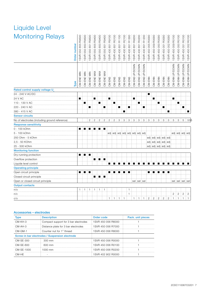# Liquide Level Monitoring Relays

| <b>Monitoring Relays</b>                      | Order number | R9500<br>855<br>550<br>SVR. | R9500<br>850<br>1SVR 550 | R9500<br>1SVR 550 851 | R9400<br>1SVR 550 855 | R9400<br>SVR 550 850 | R9400<br>SVR 550 851 | R9100<br>SVR 430 851 | R0100<br>SVR 430 851 | R1100<br>SVR 430 851 | R2100<br>SVR 430 851 | R1300<br>SVR 430 851 | R9200<br>SVR 430 851                | R0200<br>1SVR 430 851 | R1200<br>1SVR 430 851 | R0000<br>SVR 450 055 | R0000<br>1SVR 450 059 | R0000<br>1SVR 450 050 | R0000<br>1SVR 450 051   | R0000<br>SVR 450 052 | 1SVR 450 059 R0100      | 1SVR 450 050 R0100 | 1SVR 450 051 R0100 | 1SVR 450 052 R0100 |
|-----------------------------------------------|--------------|-----------------------------|--------------------------|-----------------------|-----------------------|----------------------|----------------------|----------------------|----------------------|----------------------|----------------------|----------------------|-------------------------------------|-----------------------|-----------------------|----------------------|-----------------------|-----------------------|-------------------------|----------------------|-------------------------|--------------------|--------------------|--------------------|
|                                               | Type         | CM-ENE MIN                  | CM-ENE MIN               | CM-ENE MIN            | CM-ENE MAX            | CM-ENE MAX           | CM-ENE MAX           | CM-ENS               | CM-ENS               | CM-ENS               | CM-ENS               | CM-ENS               | CM-ENS UP/DOWN                      | CM-ENS UP/DOWN        | CM-ENS UP/DOWN        | CM-ENN               | CM-ENN                | CM-ENN                | CM-ENN                  | CM-ENN               | CM-ENN UP/DOWN          | CM-ENN UP/DOWN     | CM-ENN UP/DOWN     | CM-ENN UP/DOWN     |
| Rated control supply voltage U                |              |                             |                          |                       |                       |                      |                      |                      |                      |                      |                      |                      |                                     |                       |                       |                      |                       |                       |                         |                      |                         |                    |                    |                    |
| 24 - 240 V AC/DC                              |              |                             |                          |                       |                       |                      |                      |                      |                      |                      |                      |                      |                                     |                       |                       | ■                    |                       |                       |                         |                      |                         |                    |                    |                    |
| 24 V AC                                       |              | ■                           |                          |                       | ■                     |                      |                      | ■                    |                      |                      |                      |                      | ■                                   |                       |                       |                      | ■                     |                       |                         |                      | $\blacksquare$          |                    |                    |                    |
| 110 - 130 V AC                                |              |                             | п                        |                       |                       | ■                    |                      |                      | ■                    |                      |                      |                      |                                     | п                     |                       |                      |                       | п                     |                         |                      |                         | п                  |                    |                    |
| 220 - 240 V AC                                |              |                             |                          | ■                     |                       |                      | ■                    |                      |                      | п                    |                      | ■                    |                                     |                       | п                     |                      |                       |                       | п                       |                      |                         |                    | П                  |                    |
| 380 - 415 V AC                                |              |                             |                          |                       |                       |                      |                      |                      |                      |                      | ■                    |                      |                                     |                       |                       |                      |                       |                       |                         | ■                    |                         |                    |                    | ■                  |
| <b>Sensor circuits</b>                        |              |                             |                          |                       |                       |                      |                      |                      |                      |                      |                      |                      |                                     |                       |                       |                      |                       |                       |                         |                      |                         |                    |                    |                    |
| No of electrodes (including ground reference) |              |                             |                          | $\overline{2}$        | $\overline{2}$        | $\overline{2}$       | $\overline{2}$       | $\overline{2}$       | $\overline{2}$       | 3                    | 3                    | 3                    | 3                                   | 3                     | 3                     | 3                    | 3                     | 3                     | 3                       | 3                    | 3                       | 3                  | 5                  | 555                |
| <b>Response sensititvity</b>                  |              |                             |                          |                       |                       |                      |                      |                      |                      |                      |                      |                      |                                     |                       |                       |                      |                       |                       |                         |                      |                         |                    |                    |                    |
| 0 - 100 kOhm                                  |              |                             |                          |                       |                       | ■                    | $\blacksquare$       |                      |                      |                      |                      |                      |                                     |                       |                       |                      |                       |                       |                         |                      |                         |                    |                    |                    |
| 5 - 100 kOhm                                  |              |                             |                          |                       |                       |                      |                      |                      |                      |                      |                      |                      | adi adi adi adi adi adi adi adi adi |                       |                       |                      |                       |                       |                         |                      |                         | adj adj adj adj    |                    |                    |
| 250 Ohm - 5 kOhm                              |              |                             |                          |                       |                       |                      |                      |                      |                      |                      |                      |                      |                                     |                       |                       |                      |                       |                       | adj adj adj adj adj     |                      |                         |                    |                    |                    |
| 2,5 - 50 KOhm                                 |              |                             |                          |                       |                       |                      |                      |                      |                      |                      |                      |                      |                                     |                       |                       |                      |                       |                       | adj adj adj adj adj adj |                      |                         |                    |                    |                    |
| 25 - 500 kOhm                                 |              |                             |                          |                       |                       |                      |                      |                      |                      |                      |                      |                      |                                     |                       |                       |                      |                       |                       | adj adj adj adj adj     |                      |                         |                    |                    |                    |
| <b>Monitoring function</b>                    |              |                             |                          |                       |                       |                      |                      |                      |                      |                      |                      |                      |                                     |                       |                       |                      |                       |                       |                         |                      |                         |                    |                    |                    |
| Dry-running protection                        |              | ∎ ⊧                         |                          | 98. .                 |                       |                      |                      |                      |                      |                      |                      |                      |                                     |                       |                       |                      |                       |                       |                         |                      |                         |                    |                    |                    |
| Overflow protection                           |              |                             |                          |                       |                       | ■ }■ }■              |                      |                      |                      |                      |                      |                      |                                     |                       |                       |                      |                       |                       |                         |                      |                         |                    |                    |                    |
| Liquide level control                         |              |                             |                          |                       |                       |                      |                      | ■                    |                      |                      |                      |                      |                                     |                       |                       |                      |                       |                       |                         |                      |                         |                    |                    |                    |
| <b>Operating principle</b>                    |              |                             |                          |                       |                       |                      |                      |                      |                      |                      |                      |                      |                                     |                       |                       |                      |                       |                       |                         |                      |                         |                    |                    |                    |
| Open circuit principle                        |              | ■                           | ш                        | ■                     |                       |                      |                      | ■                    |                      |                      |                      |                      |                                     |                       |                       |                      |                       |                       | ■                       | ■                    |                         |                    |                    |                    |
| Closed circuit principle                      |              |                             |                          |                       | ■                     | ■                    | п                    |                      |                      |                      |                      |                      |                                     |                       |                       |                      |                       |                       |                         |                      |                         |                    |                    |                    |
| Open or closed circuit principle              |              |                             |                          |                       |                       |                      |                      |                      |                      |                      |                      |                      |                                     | sel i sel i sel       |                       |                      |                       |                       |                         |                      |                         | sel sel sel sel    |                    |                    |
| <b>Output contacts</b>                        |              |                             |                          |                       |                       |                      |                      |                      |                      |                      |                      |                      |                                     |                       |                       |                      |                       |                       |                         |                      |                         |                    |                    |                    |
| $n$ o                                         |              | $\mathbf{1}$                | $\overline{1}$           | $\mathbf{1}$          | $\mathbf{1}$          | $\overline{1}$       | $\vdash$ 1           |                      |                      |                      |                      | 1                    |                                     |                       |                       |                      |                       |                       |                         |                      |                         |                    |                    |                    |
| n/c                                           |              |                             |                          |                       |                       |                      |                      |                      |                      |                      |                      | 1                    |                                     |                       |                       |                      |                       |                       |                         |                      | $\overline{\mathbf{c}}$ | $\mathbf{2}$       | $\sqrt{2}$         | $\overline{c}$     |
| C/O                                           |              |                             |                          |                       |                       |                      |                      | 1.                   | $\mathbf{1}$         | ÷<br>$\mathbf{1}$    | ÷<br>$\overline{1}$  |                      | 1.                                  | $\mathbf{1}$          | 1                     | $\overline{c}$       | $\mathbf{2}$          | $\overline{c}$        | $\mathbf{2}$            | $\mathbf{2}$         | 1                       | $\mathbf{1}$<br>÷  | 1                  | $\mathbf{1}$       |

### Accessories – electrodes

| <b>Type</b> | <b>Description</b>                             | Order code         | Pack. unit pieces |
|-------------|------------------------------------------------|--------------------|-------------------|
| $CM-KH-3$   | Compact support for 3 bar electrodes           | 1SVR 450 056 R6000 |                   |
| $CM-AH-3$   | Distance plate for 3 bar electrodes            | 1SVR 450 056 R7000 |                   |
| $CM-GM-1$   | Counter nut for 1" thread                      | 1SVR 450 056 R8000 |                   |
|             | Screw-in bar electrodes / Suspension electrode |                    |                   |
| $CM-SE-300$ | $300 \text{ mm}$                               | 1SVR 450 056 R0000 |                   |
| CM-SE-600   | 600 mm                                         | 1SVR 450 056 R0100 |                   |
| CM-SE-1000  | 1000 mm                                        | 1SVR 450 056 R0200 |                   |
| CM-HF       |                                                | 1SVR 402 902 R0000 |                   |